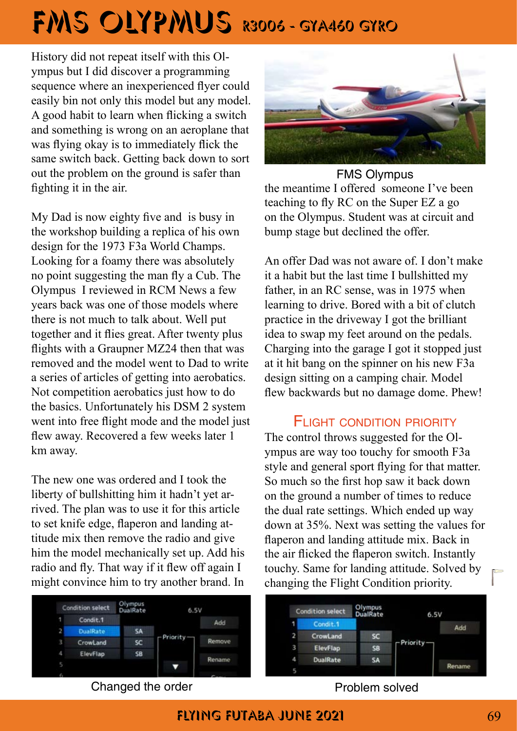## FMS OLYPMUS R3006 - GYA460 GYRO

History did not repeat itself with this Olympus but I did discover a programming sequence where an inexperienced flyer could easily bin not only this model but any model. A good habit to learn when flicking a switch and something is wrong on an aeroplane that was flying okay is to immediately flick the same switch back. Getting back down to sort out the problem on the ground is safer than fighting it in the air.

My Dad is now eighty five and is busy in the workshop building a replica of his own design for the 1973 F3a World Champs. Looking for a foamy there was absolutely no point suggesting the man fly a Cub. The Olympus I reviewed in RCM News a few years back was one of those models where there is not much to talk about. Well put together and it flies great. After twenty plus flights with a Graupner MZ24 then that was removed and the model went to Dad to write a series of articles of getting into aerobatics. Not competition aerobatics just how to do the basics. Unfortunately his DSM 2 system went into free flight mode and the model just flew away. Recovered a few weeks later 1 km away.

The new one was ordered and I took the liberty of bullshitting him it hadn't yet arrived. The plan was to use it for this article to set knife edge, flaperon and landing attitude mix then remove the radio and give him the model mechanically set up. Add his radio and fly. That way if it flew off again I might convince him to try another brand. In



ympus are way too touchy for smooth F3a style and general sport flying for that matter. So much so the first hop saw it back down on the ground a number of times to reduce the dual rate settings. Which ended up way down at 35%. Next was setting the values for flaperon and landing attitude mix. Back in the air flicked the flaperon switch. Instantly touchy. Same for landing attitude. Solved by changing the Flight Condition priority.





the meantime I offered someone I've been teaching to fly RC on the Super EZ a go on the Olympus. Student was at circuit and bump stage but declined the offer. FMS Olympus

An offer Dad was not aware of. I don't make it a habit but the last time I bullshitted my father, in an RC sense, was in 1975 when learning to drive. Bored with a bit of clutch practice in the driveway I got the brilliant idea to swap my feet around on the pedals. Charging into the garage I got it stopped just at it hit bang on the spinner on his new F3a design sitting on a camping chair. Model flew backwards but no damage dome. Phew!

## FI IGHT CONDITION PRIORITY

Flying Futaba june 2021 69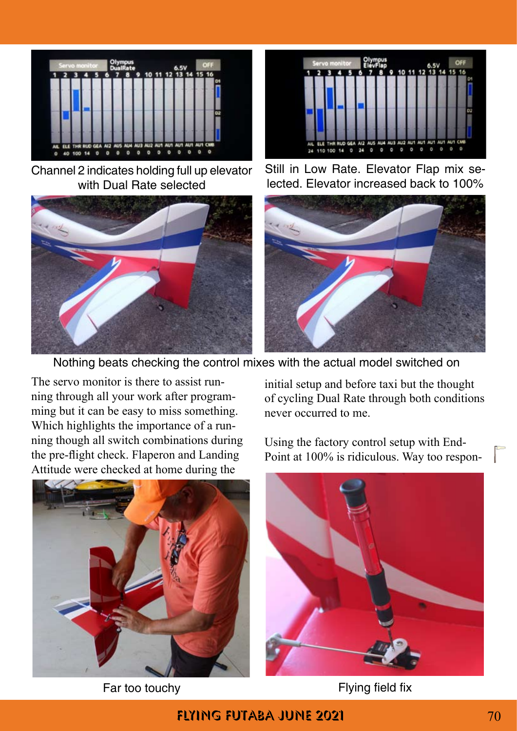

Channel 2 indicates holding full up elevator with Dual Rate selected





Still in Low Rate. Elevator Flap mix selected. Elevator increased back to 100%



Nothing beats checking the control mixes with the actual model switched on

The servo monitor is there to assist running through all your work after programming but it can be easy to miss something. Which highlights the importance of a running though all switch combinations during the pre-flight check. Flaperon and Landing Attitude were checked at home during the



initial setup and before taxi but the thought of cycling Dual Rate through both conditions never occurred to me.

Using the factory control setup with End-Point at 100% is ridiculous. Way too respon-



Far too touchy Flying field fix

FLYING FUTABA JUNE 2021 **70**